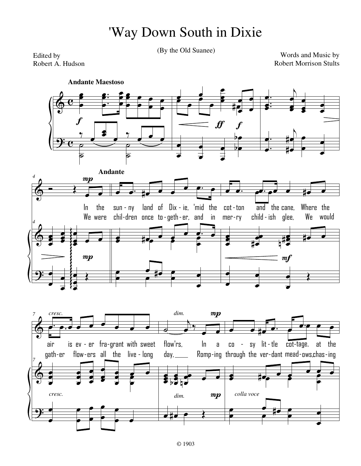## 'Way Down South in Dixie

(By the Old Suanee)

Edited by Robert A. Hudson

Words and Music by **Robert Morrison Stults** 

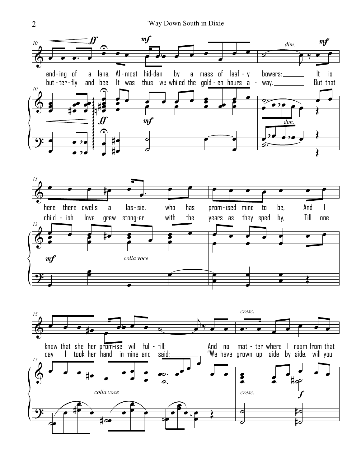